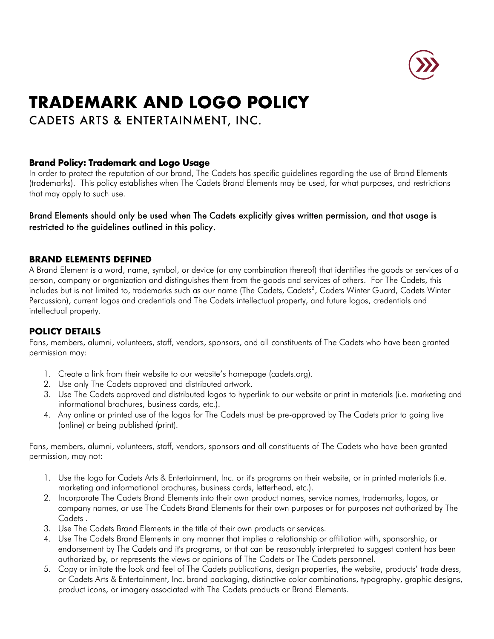

# **TRADEMARK AND LOGO POLICY**

CADETS ARTS & ENTERTAINMENT, INC.

## **Brand Policy: Trademark and Logo Usage**

In order to protect the reputation of our brand, The Cadets has specific guidelines regarding the use of Brand Elements (trademarks). This policy establishes when The Cadets Brand Elements may be used, for what purposes, and restrictions that may apply to such use.

Brand Elements should only be used when The Cadets explicitly gives written permission, and that usage is restricted to the guidelines outlined in this policy.

### **BRAND ELEMENTS DEFINED**

A Brand Element is a word, name, symbol, or device (or any combination thereof) that identifies the goods or services of a person, company or organization and distinguishes them from the goods and services of others. For The Cadets, this includes but is not limited to, trademarks such as our name (The Cadets, Cadets<sup>2</sup>, Cadets Winter Guard, Cadets Winter Percussion), current logos and credentials and The Cadets intellectual property, and future logos, credentials and intellectual property.

# **POLICY DETAILS**

Fans, members, alumni, volunteers, staff, vendors, sponsors, and all constituents of The Cadets who have been granted permission may:

- 1. Create a link from their website to our website's homepage (cadets.org).
- 2. Use only The Cadets approved and distributed artwork.
- 3. Use The Cadets approved and distributed logos to hyperlink to our website or print in materials (i.e. marketing and informational brochures, business cards, etc.).
- 4. Any online or printed use of the logos for The Cadets must be pre-approved by The Cadets prior to going live (online) or being published (print).

Fans, members, alumni, volunteers, staff, vendors, sponsors and all constituents of The Cadets who have been granted permission, may not:

- 1. Use the logo for Cadets Arts & Entertainment, Inc. or it's programs on their website, or in printed materials (i.e. marketing and informational brochures, business cards, letterhead, etc.).
- 2. Incorporate The Cadets Brand Elements into their own product names, service names, trademarks, logos, or company names, or use The Cadets Brand Elements for their own purposes or for purposes not authorized by The Cadets .
- 3. Use The Cadets Brand Elements in the title of their own products or services.
- 4. Use The Cadets Brand Elements in any manner that implies a relationship or affiliation with, sponsorship, or endorsement by The Cadets and it's programs, or that can be reasonably interpreted to suggest content has been authorized by, or represents the views or opinions of The Cadets or The Cadets personnel.
- 5. Copy or imitate the look and feel of The Cadets publications, design properties, the website, products' trade dress, or Cadets Arts & Entertainment, Inc. brand packaging, distinctive color combinations, typography, graphic designs, product icons, or imagery associated with The Cadets products or Brand Elements.